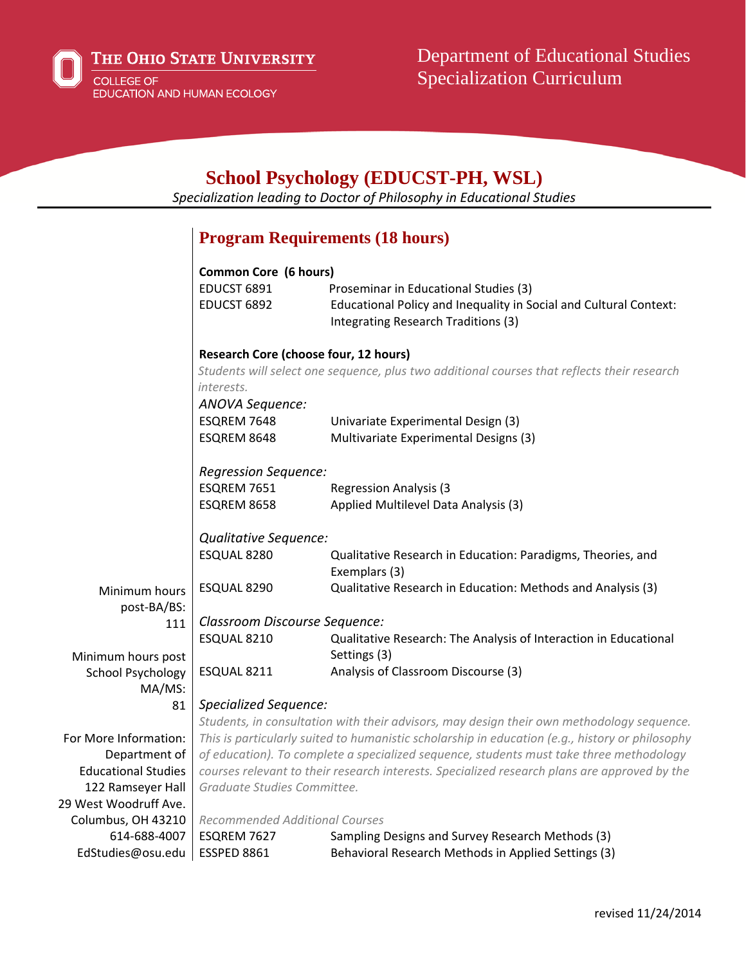

| <b>School Psychology (EDUCST-PH, WSL)</b><br>Specialization leading to Doctor of Philosophy in Educational Studies |                                                                                                 |                                                                                                                                                   |
|--------------------------------------------------------------------------------------------------------------------|-------------------------------------------------------------------------------------------------|---------------------------------------------------------------------------------------------------------------------------------------------------|
|                                                                                                                    |                                                                                                 | <b>Program Requirements (18 hours)</b>                                                                                                            |
|                                                                                                                    |                                                                                                 |                                                                                                                                                   |
|                                                                                                                    | <b>Common Core (6 hours)</b>                                                                    |                                                                                                                                                   |
|                                                                                                                    | EDUCST 6891<br>EDUCST 6892                                                                      | Proseminar in Educational Studies (3)<br>Educational Policy and Inequality in Social and Cultural Context:<br>Integrating Research Traditions (3) |
|                                                                                                                    | <b>Research Core (choose four, 12 hours)</b>                                                    |                                                                                                                                                   |
|                                                                                                                    | interests.                                                                                      | Students will select one sequence, plus two additional courses that reflects their research                                                       |
|                                                                                                                    | <b>ANOVA Sequence:</b>                                                                          |                                                                                                                                                   |
|                                                                                                                    | ESQREM 7648                                                                                     | Univariate Experimental Design (3)                                                                                                                |
|                                                                                                                    | ESQREM 8648                                                                                     | Multivariate Experimental Designs (3)                                                                                                             |
|                                                                                                                    | Regression Sequence:                                                                            |                                                                                                                                                   |
|                                                                                                                    | ESQREM 7651                                                                                     | <b>Regression Analysis (3)</b>                                                                                                                    |
|                                                                                                                    | ESQREM 8658                                                                                     | Applied Multilevel Data Analysis (3)                                                                                                              |
|                                                                                                                    | Qualitative Sequence:                                                                           |                                                                                                                                                   |
|                                                                                                                    | ESQUAL 8280                                                                                     | Qualitative Research in Education: Paradigms, Theories, and<br>Exemplars (3)                                                                      |
| Minimum hours                                                                                                      | ESQUAL 8290                                                                                     | Qualitative Research in Education: Methods and Analysis (3)                                                                                       |
| post-BA/BS:                                                                                                        | Classroom Discourse Sequence:                                                                   |                                                                                                                                                   |
| 111                                                                                                                | ESQUAL 8210                                                                                     | Qualitative Research: The Analysis of Interaction in Educational                                                                                  |
| Minimum hours post                                                                                                 |                                                                                                 | Settings (3)                                                                                                                                      |
| School Psychology                                                                                                  | ESQUAL 8211                                                                                     | Analysis of Classroom Discourse (3)                                                                                                               |
| MA/MS:                                                                                                             |                                                                                                 |                                                                                                                                                   |
| 81                                                                                                                 | <b>Specialized Sequence:</b>                                                                    |                                                                                                                                                   |
|                                                                                                                    | Students, in consultation with their advisors, may design their own methodology sequence.       |                                                                                                                                                   |
| For More Information:                                                                                              | This is particularly suited to humanistic scholarship in education (e.g., history or philosophy |                                                                                                                                                   |
| Department of                                                                                                      | of education). To complete a specialized sequence, students must take three methodology         |                                                                                                                                                   |
| <b>Educational Studies</b>                                                                                         | courses relevant to their research interests. Specialized research plans are approved by the    |                                                                                                                                                   |
| 122 Ramseyer Hall                                                                                                  | Graduate Studies Committee.                                                                     |                                                                                                                                                   |
| 29 West Woodruff Ave.                                                                                              |                                                                                                 |                                                                                                                                                   |
| Columbus, OH 43210                                                                                                 | <b>Recommended Additional Courses</b>                                                           |                                                                                                                                                   |
| 614-688-4007                                                                                                       | ESQREM 7627                                                                                     | Sampling Designs and Survey Research Methods (3)                                                                                                  |
| EdStudies@osu.edu                                                                                                  | ESSPED 8861                                                                                     | Behavioral Research Methods in Applied Settings (3)                                                                                               |